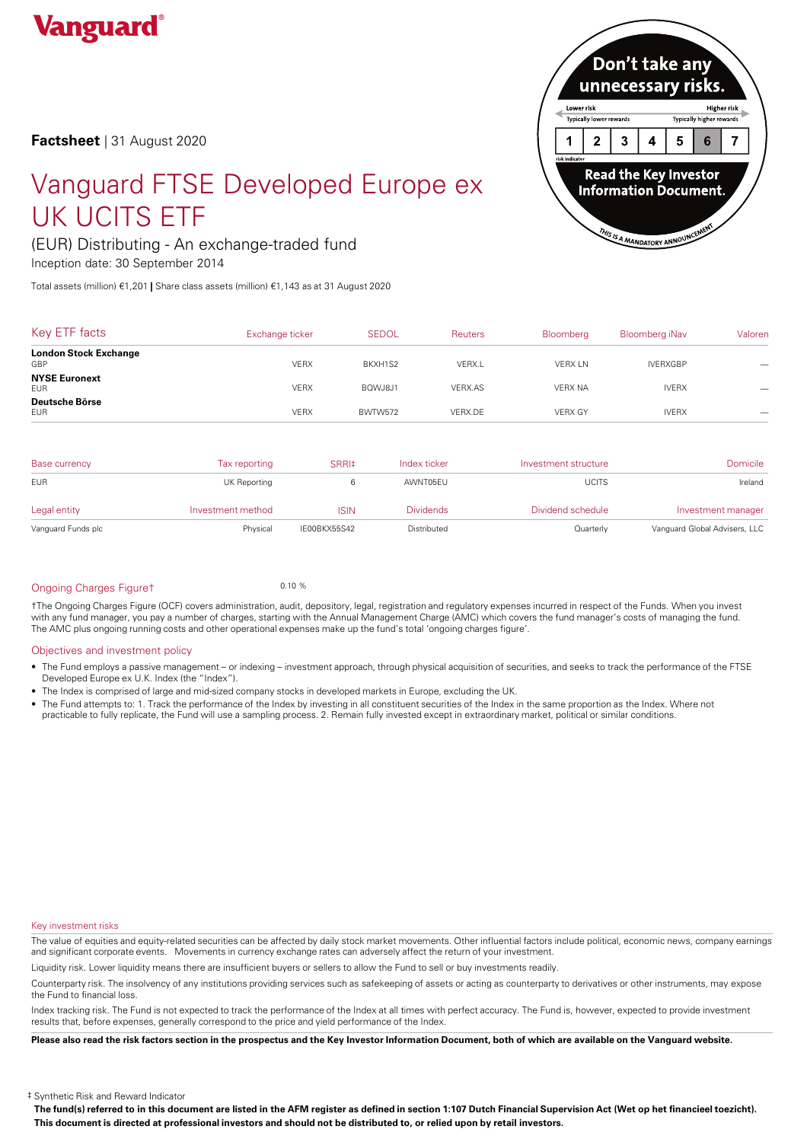

**Factsheet** | 31 August 2020

# Vanguard FTSE Developed Europe ex **Next Approximation Document.** UK UCITS ETF

# (EUR) Distributing - An exchange-traded fund

Inception date: 30 September 2014

Total assets (million) €1,201 **|** Share class assets (million) €1,143 as at 31 August 2020



| Key ETF facts                       | Exchange ticker | <b>SEDOL</b> | <b>Reuters</b> | Bloomberg      | Bloomberg iNav  | Valoren |
|-------------------------------------|-----------------|--------------|----------------|----------------|-----------------|---------|
| <b>London Stock Exchange</b><br>GBP | <b>VERX</b>     | BKXH1S2      | VERX.L         | <b>VERX LN</b> | <b>IVERXGBP</b> |         |
| <b>NYSE Euronext</b><br><b>EUR</b>  | <b>VERX</b>     | BQWJ8J1      | VERX.AS        | <b>VERX NA</b> | <b>IVERX</b>    |         |
| Deutsche Börse<br><b>EUR</b>        | <b>VERX</b>     | BWTW572      | VERX.DE        | <b>VERX GY</b> | <b>IVERX</b>    |         |

| Base currency      | Tax reporting     | SRRI‡        | Index ticker     | Investment structure | <b>Domicile</b>               |
|--------------------|-------------------|--------------|------------------|----------------------|-------------------------------|
| <b>EUR</b>         | UK Reporting      |              | AWNT05EU         | <b>UCITS</b>         | Ireland                       |
| Legal entity       | Investment method | <b>ISIN</b>  | <b>Dividends</b> | Dividend schedule    | Investment manager            |
| Vanguard Funds plc | Physical          | IE00BKX55S42 | Distributed      | Quarterly            | Vanguard Global Advisers, LLC |

# Ongoing Charges Figuret 0.10 %

†The Ongoing Charges Figure (OCF) covers administration, audit, depository, legal, registration and regulatory expenses incurred in respect of the Funds. When you invest with any fund manager, you pay a number of charges, starting with the Annual Management Charge (AMC) which covers the fund manager's costs of managing the fund. The AMC plus ongoing running costs and other operational expenses make up the fund's total 'ongoing charges figure'.

# Objectives and investment policy

- The Fund employs a passive management orindexing investment approach, through physical acquisition of securities, and seeks to track the performance of the FTSE Developed Europe ex U.K. Index (the "Index").
- The Index is comprised of large and mid-sized company stocks in developed markets in Europe, excluding the UK.
- The Fund attempts to: 1. Track the performance of the Index by investing in all constituent securities of the Index in the same proportion as the Index. Where not practicable to fully replicate, the Fund will use a sampling process. 2. Remain fully invested except in extraordinary market, political or similar conditions.

# Key investment risks

The value of equities and equity-related securities can be affected by daily stock market movements. Other influential factors include political, economic news, company earnings and significant corporate events. Movements in currency exchange rates can adversely affect the return of your investment.

Liquidity risk. Lower liquidity means there are insufficient buyers or sellers to allow the Fund to sell or buy investments readily.

Counterparty risk. The insolvency ofany institutions providing services such as safekeeping of assets or acting as counterparty to derivatives or other instruments, may expose the Fund to financial loss.

Index tracking risk.The Fund is not expected to track the performance of the Index at all times with perfect accuracy. The Fund is, however, expected to provide investment results that, before expenses, generally correspond to the price and yield performance of the Index.

Please also read the risk factors section in the prospectus and the Key Investor Information Document, both of which are available on the Vanguard website.

‡ Synthetic Risk and Reward Indicator

The fund(s) referred to in this document are listed in the AFM register as defined in section 1:107 Dutch Financial Supervision Act (Wet op het financieel toezicht). This document is directed at professional investors and should not be distributed to, or relied upon by retail investors.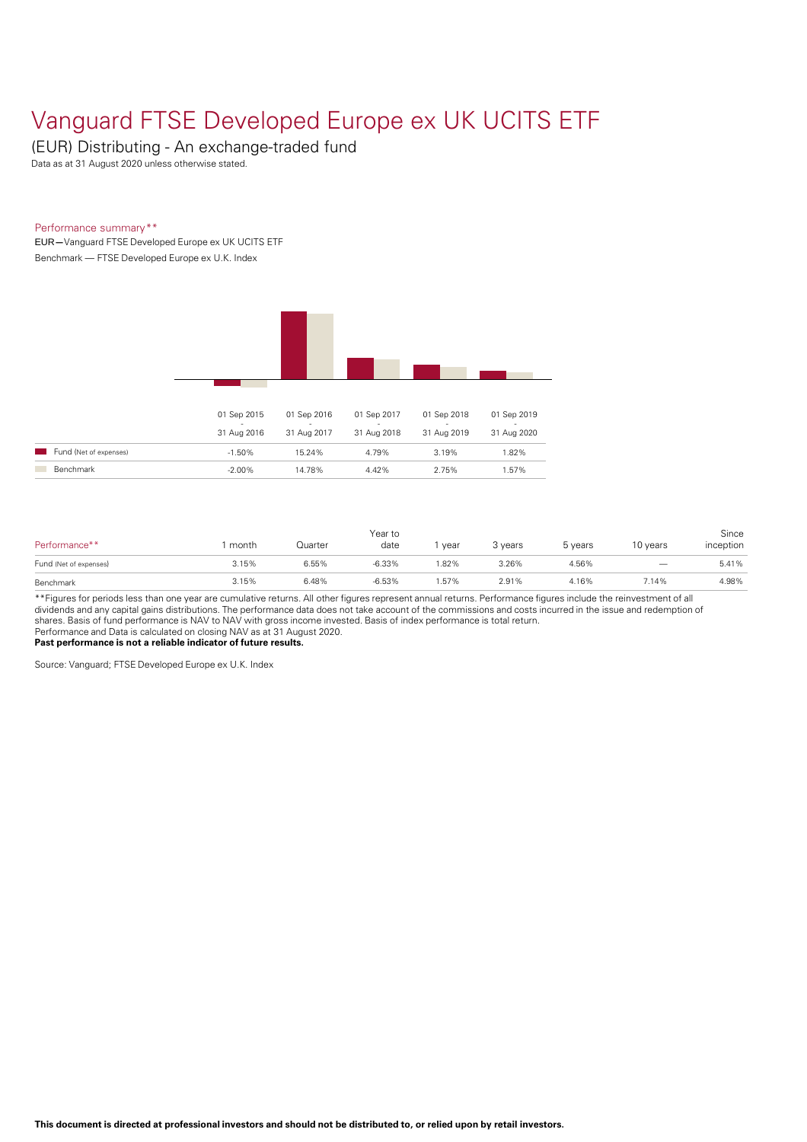# Vanguard FTSE Developed Europe ex UK UCITS ETF

(EUR) Distributing - An exchange-traded fund

Data as at 31 August 2020 unless otherwise stated.

# Performance summary\*\*

EUR**—**Vanguard FTSE Developed Europe ex UK UCITS ETF Benchmark — FTSE Developed Europe ex U.K. Index



| Performance**          | month | Quarter | Year to<br>date | year | 3 vears | 5 years | 10 years | Since<br>inception |
|------------------------|-------|---------|-----------------|------|---------|---------|----------|--------------------|
| Fund (Net of expenses) | 3.15% | 6.55%   | $-6.33%$        | .82% | 3.26%   | 4.56%   |          | 5.41%              |
| Benchmark              | 3.15% | 6.48%   | $-6.53%$        | .57% | 2.91%   | 4.16%   | 7.14%    | 4.98%              |

\*\*Figures for periods less than one year are cumulative returns. All other figures represent annual returns. Performance figures include the reinvestment of all dividends and any capital gains distributions. The performance data does not take account of the commissions and costs incurred in the issue and redemption of shares. Basis offund performance is NAV to NAV with gross income invested. Basis ofindex performance is total return. Performance and Data is calculated on closing NAV as at 31 August 2020.

**Past performance is not a reliable indicator of future results.**

Source: Vanguard; FTSE Developed Europe ex U.K. Index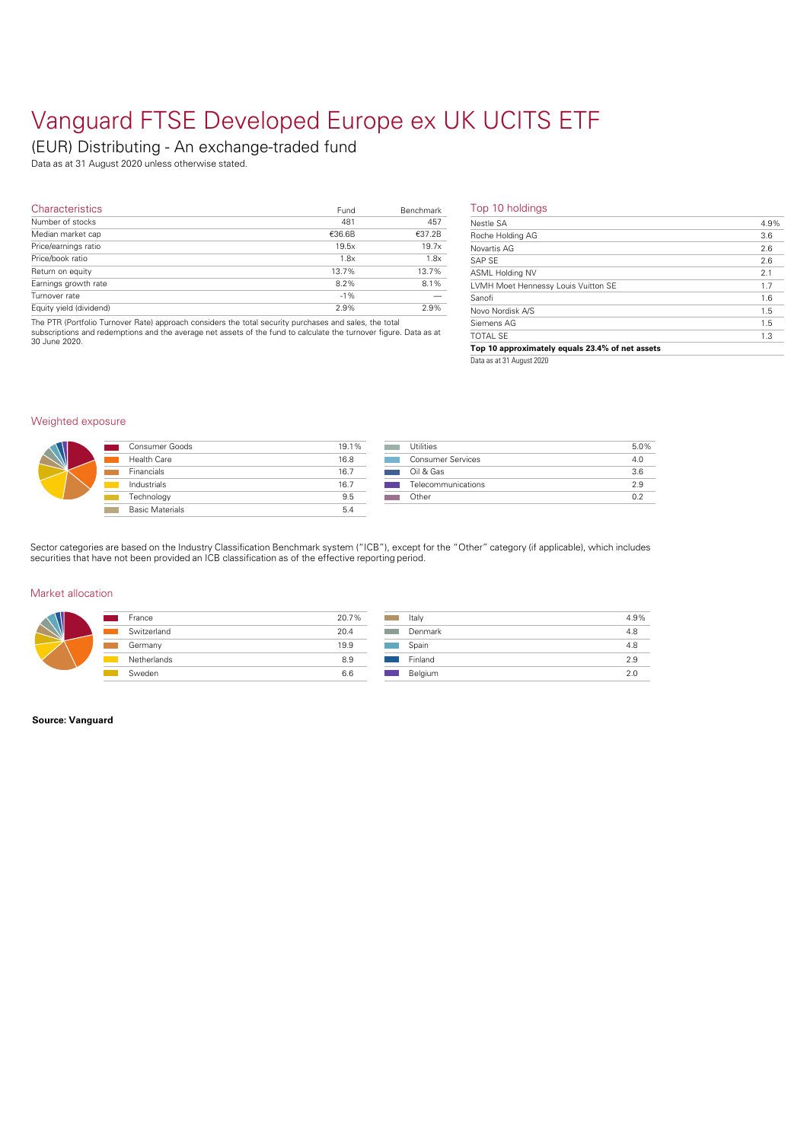# Vanguard FTSE Developed Europe ex UK UCITS ETF

# (EUR) Distributing - An exchange-traded fund

Data as at 31 August 2020 unless otherwise stated.

| <b>Characteristics</b>  | Fund   | Benchmark | Top 10            |
|-------------------------|--------|-----------|-------------------|
| Number of stocks        | 481    | 457       | Nestle S          |
| Median market cap       | €36.6B | €37.2B    | Roche H           |
| Price/earnings ratio    | 19.5x  | 19.7x     | Novartis          |
| Price/book ratio        | 1.8x   | 1.8x      | SAP SE            |
| Return on equity        | 13.7%  | 13.7%     | ASML H            |
| Earnings growth rate    | 8.2%   | 8.1%      | LVMH <sub>N</sub> |
| Turnover rate           | $-1%$  |           | Sanofi            |
| Equity yield (dividend) | 2.9%   | 2.9%      | Novo No           |

The PTR (Portfolio Turnover Rate) approach considers the total security purchases and sales, the total<br>subscriptions and redemptions and the average net assets of the fund to calculate the turnover figure. Data as at<br>30 Ju

## Top 10 holdings

| 4.9% |
|------|
| 3.6  |
| 2.6  |
| 2.6  |
| 2.1  |
| 1.7  |
| 1.6  |
| 1.5  |
| 1.5  |
| 1.3  |
|      |

**Top 10 approximately equals 23.4% of net assets**

Data as at 31 August 2020

# Weighted exposure

| Consumer Goods         | 19.1% |
|------------------------|-------|
| Health Care            | 16.8  |
| <b>Financials</b>      | 16.7  |
| Industrials            | 16.7  |
| Technology             | 9.5   |
| <b>Basic Materials</b> | 5.4   |

| Utilities                | 5.0% |
|--------------------------|------|
| <b>Consumer Services</b> | 4.0  |
| Oil & Gas                | 3.6  |
| Telecommunications       | 29   |
| Other                    | ሰ 2  |
|                          |      |

Sector categories are based on the Industry Classification Benchmark system ("ICB"), except for the "Other" category (if applicable), which includes securities that have not been provided an ICB classification as of the effective reporting period.

## Market allocation

| France      | 20.7% | Italy |
|-------------|-------|-------|
| Switzerland | 20.4  | Der   |
| Germany     | 19.9  | Spa   |
| Netherlands | 8.9   | Finl  |
| Sweden      | 6.6   | Bel   |
|             |       |       |

| Italy   | 4.9% |
|---------|------|
| Denmark | 4.8  |
| Spain   | 4.8  |
| Finland | 2.9  |
| Belgium | 2 O  |

## **Source: Vanguard**